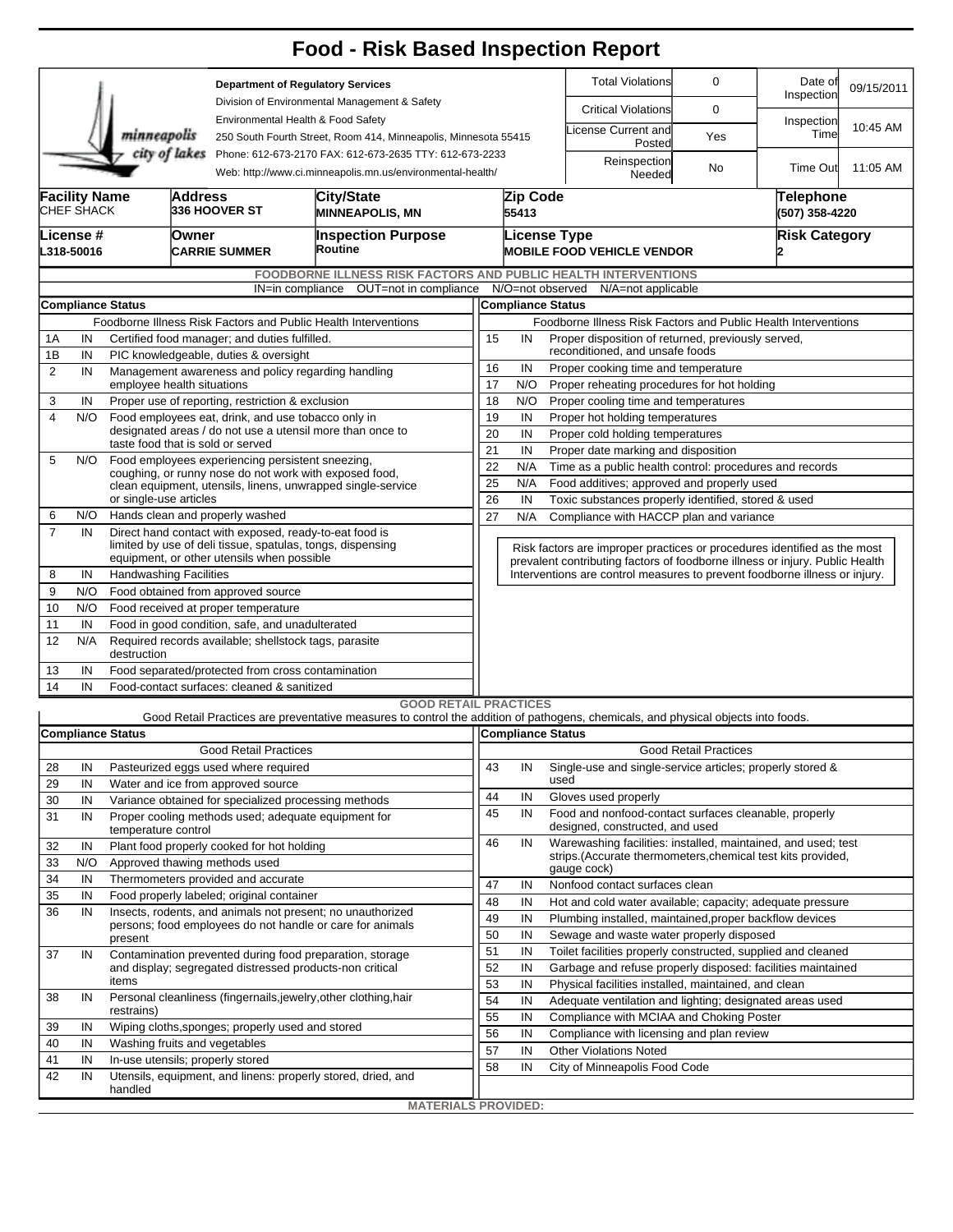|                                                                                                                                        |                                                         |                                                                                                  |                                                               |                                                                             | <b>Food - Risk Based Inspection Report</b>                                                                                        |                                                                                                                                                          |                                                                |                                                                                                     |                                                               |                              |          |          |  |  |  |  |
|----------------------------------------------------------------------------------------------------------------------------------------|---------------------------------------------------------|--------------------------------------------------------------------------------------------------|---------------------------------------------------------------|-----------------------------------------------------------------------------|-----------------------------------------------------------------------------------------------------------------------------------|----------------------------------------------------------------------------------------------------------------------------------------------------------|----------------------------------------------------------------|-----------------------------------------------------------------------------------------------------|---------------------------------------------------------------|------------------------------|----------|----------|--|--|--|--|
|                                                                                                                                        |                                                         |                                                                                                  |                                                               | <b>Department of Regulatory Services</b>                                    |                                                                                                                                   |                                                                                                                                                          |                                                                | <b>Total Violations</b>                                                                             | Date of<br>Inspection                                         | 09/15/2011                   |          |          |  |  |  |  |
|                                                                                                                                        |                                                         |                                                                                                  |                                                               |                                                                             | Division of Environmental Management & Safety<br>Environmental Health & Food Safety                                               |                                                                                                                                                          |                                                                |                                                                                                     | <b>Critical Violations</b>                                    | 0                            |          |          |  |  |  |  |
|                                                                                                                                        |                                                         | minneapolis                                                                                      |                                                               | 250 South Fourth Street, Room 414, Minneapolis, Minnesota 55415             |                                                                                                                                   |                                                                                                                                                          |                                                                | icense Current and<br>Posted                                                                        | Yes                                                           | Inspection<br>Time           | 10:45 AM |          |  |  |  |  |
| city of lakes<br>Phone: 612-673-2170 FAX: 612-673-2635 TTY: 612-673-2233<br>Web: http://www.ci.minneapolis.mn.us/environmental-health/ |                                                         |                                                                                                  |                                                               |                                                                             |                                                                                                                                   |                                                                                                                                                          |                                                                |                                                                                                     | Reinspection<br>Needed                                        | No                           | Time Out | 11:05 AM |  |  |  |  |
| <b>Facility Name</b><br>CHEF SHACK                                                                                                     |                                                         |                                                                                                  | <b>Address</b>                                                | <b>336 HOOVER ST</b>                                                        | City/State<br><b>MINNEAPOLIS, MN</b>                                                                                              |                                                                                                                                                          | Zip Code<br>55413                                              |                                                                                                     |                                                               | Telephone<br>(507) 358-4220  |          |          |  |  |  |  |
| License #<br>L318-50016                                                                                                                |                                                         | Owner<br><b>CARRIE SUMMER</b>                                                                    |                                                               |                                                                             | <b>Inspection Purpose</b><br>Routine                                                                                              | <b>License Type</b>                                                                                                                                      |                                                                | <b>MOBILE FOOD VEHICLE VENDOR</b>                                                                   |                                                               | <b>Risk Category</b>         |          |          |  |  |  |  |
|                                                                                                                                        |                                                         |                                                                                                  |                                                               |                                                                             | <b>FOODBORNE ILLNESS RISK FACTORS AND PUBLIC HEALTH INTERVENTIONS</b>                                                             |                                                                                                                                                          |                                                                |                                                                                                     |                                                               |                              |          |          |  |  |  |  |
| OUT=not in compliance<br>IN=in compliance                                                                                              |                                                         |                                                                                                  |                                                               |                                                                             |                                                                                                                                   |                                                                                                                                                          |                                                                | N/O=not observed N/A=not applicable<br><b>Compliance Status</b>                                     |                                                               |                              |          |          |  |  |  |  |
| <b>Compliance Status</b><br>Foodborne Illness Risk Factors and Public Health Interventions                                             |                                                         |                                                                                                  |                                                               |                                                                             |                                                                                                                                   |                                                                                                                                                          |                                                                | Foodborne Illness Risk Factors and Public Health Interventions                                      |                                                               |                              |          |          |  |  |  |  |
| Certified food manager; and duties fulfilled.<br>1Α<br>IN                                                                              |                                                         |                                                                                                  |                                                               |                                                                             |                                                                                                                                   |                                                                                                                                                          | 15<br>Proper disposition of returned, previously served,<br>IN |                                                                                                     |                                                               |                              |          |          |  |  |  |  |
| 1B                                                                                                                                     | IN                                                      |                                                                                                  |                                                               | PIC knowledgeable, duties & oversight                                       |                                                                                                                                   | reconditioned, and unsafe foods                                                                                                                          |                                                                |                                                                                                     |                                                               |                              |          |          |  |  |  |  |
| 2                                                                                                                                      | IN                                                      |                                                                                                  | Management awareness and policy regarding handling            |                                                                             |                                                                                                                                   |                                                                                                                                                          |                                                                |                                                                                                     | 16<br>IN<br>Proper cooking time and temperature               |                              |          |          |  |  |  |  |
|                                                                                                                                        |                                                         | employee health situations                                                                       |                                                               |                                                                             | 17<br>N/O<br>Proper reheating procedures for hot holding                                                                          |                                                                                                                                                          |                                                                |                                                                                                     |                                                               |                              |          |          |  |  |  |  |
| 3                                                                                                                                      | IN                                                      |                                                                                                  |                                                               | Proper use of reporting, restriction & exclusion                            |                                                                                                                                   |                                                                                                                                                          | 18<br>N/O<br>Proper cooling time and temperatures              |                                                                                                     |                                                               |                              |          |          |  |  |  |  |
| $\overline{4}$                                                                                                                         | N/O                                                     |                                                                                                  |                                                               | Food employees eat, drink, and use tobacco only in                          | 19                                                                                                                                | IN<br>Proper hot holding temperatures                                                                                                                    |                                                                |                                                                                                     |                                                               |                              |          |          |  |  |  |  |
|                                                                                                                                        |                                                         | designated areas / do not use a utensil more than once to<br>taste food that is sold or served   |                                                               |                                                                             |                                                                                                                                   |                                                                                                                                                          |                                                                | 20<br>IN<br>Proper cold holding temperatures<br>21<br>Proper date marking and disposition<br>IN     |                                                               |                              |          |          |  |  |  |  |
| 5                                                                                                                                      | N/O                                                     |                                                                                                  |                                                               | Food employees experiencing persistent sneezing,                            |                                                                                                                                   | 22<br>N/A<br>Time as a public health control: procedures and records                                                                                     |                                                                |                                                                                                     |                                                               |                              |          |          |  |  |  |  |
|                                                                                                                                        |                                                         |                                                                                                  |                                                               |                                                                             | coughing, or runny nose do not work with exposed food,<br>clean equipment, utensils, linens, unwrapped single-service             | 25                                                                                                                                                       | N/A                                                            |                                                                                                     | Food additives; approved and properly used                    |                              |          |          |  |  |  |  |
|                                                                                                                                        |                                                         | or single-use articles                                                                           |                                                               |                                                                             | 26                                                                                                                                | IN<br>Toxic substances properly identified, stored & used                                                                                                |                                                                |                                                                                                     |                                                               |                              |          |          |  |  |  |  |
| 6                                                                                                                                      | N/O                                                     |                                                                                                  |                                                               | Hands clean and properly washed                                             |                                                                                                                                   | 27<br>N/A<br>Compliance with HACCP plan and variance                                                                                                     |                                                                |                                                                                                     |                                                               |                              |          |          |  |  |  |  |
| $\overline{7}$                                                                                                                         | IN                                                      |                                                                                                  |                                                               |                                                                             | Direct hand contact with exposed, ready-to-eat food is                                                                            |                                                                                                                                                          |                                                                |                                                                                                     |                                                               |                              |          |          |  |  |  |  |
|                                                                                                                                        |                                                         |                                                                                                  |                                                               | equipment, or other utensils when possible                                  | limited by use of deli tissue, spatulas, tongs, dispensing                                                                        | Risk factors are improper practices or procedures identified as the most<br>prevalent contributing factors of foodborne illness or injury. Public Health |                                                                |                                                                                                     |                                                               |                              |          |          |  |  |  |  |
| 8                                                                                                                                      | IN                                                      | <b>Handwashing Facilities</b>                                                                    |                                                               |                                                                             |                                                                                                                                   |                                                                                                                                                          |                                                                | Interventions are control measures to prevent foodborne illness or injury.                          |                                                               |                              |          |          |  |  |  |  |
| 9                                                                                                                                      | N/O                                                     |                                                                                                  |                                                               | Food obtained from approved source                                          |                                                                                                                                   |                                                                                                                                                          |                                                                |                                                                                                     |                                                               |                              |          |          |  |  |  |  |
| 10                                                                                                                                     | N/O                                                     |                                                                                                  |                                                               | Food received at proper temperature                                         |                                                                                                                                   |                                                                                                                                                          |                                                                |                                                                                                     |                                                               |                              |          |          |  |  |  |  |
| 11                                                                                                                                     | IN                                                      |                                                                                                  | Food in good condition, safe, and unadulterated               |                                                                             |                                                                                                                                   |                                                                                                                                                          |                                                                |                                                                                                     |                                                               |                              |          |          |  |  |  |  |
| 12                                                                                                                                     | N/A                                                     | destruction                                                                                      | Required records available; shellstock tags, parasite         |                                                                             |                                                                                                                                   |                                                                                                                                                          |                                                                |                                                                                                     |                                                               |                              |          |          |  |  |  |  |
| 13                                                                                                                                     | IN<br>Food separated/protected from cross contamination |                                                                                                  |                                                               |                                                                             |                                                                                                                                   |                                                                                                                                                          |                                                                |                                                                                                     |                                                               |                              |          |          |  |  |  |  |
| 14                                                                                                                                     | IN                                                      |                                                                                                  |                                                               | Food-contact surfaces: cleaned & sanitized                                  |                                                                                                                                   |                                                                                                                                                          |                                                                |                                                                                                     |                                                               |                              |          |          |  |  |  |  |
|                                                                                                                                        |                                                         |                                                                                                  |                                                               |                                                                             | <b>GOOD RETAIL PRACTICES</b>                                                                                                      |                                                                                                                                                          |                                                                |                                                                                                     |                                                               |                              |          |          |  |  |  |  |
|                                                                                                                                        |                                                         | <b>Compliance Status</b>                                                                         |                                                               |                                                                             | Good Retail Practices are preventative measures to control the addition of pathogens, chemicals, and physical objects into foods. |                                                                                                                                                          | Compliance Status                                              |                                                                                                     |                                                               |                              |          |          |  |  |  |  |
|                                                                                                                                        |                                                         |                                                                                                  |                                                               | <b>Good Retail Practices</b>                                                |                                                                                                                                   |                                                                                                                                                          |                                                                |                                                                                                     |                                                               | <b>Good Retail Practices</b> |          |          |  |  |  |  |
| 28                                                                                                                                     | IN                                                      |                                                                                                  |                                                               | Pasteurized eggs used where required                                        |                                                                                                                                   | 43                                                                                                                                                       | IN                                                             |                                                                                                     | Single-use and single-service articles; properly stored &     |                              |          |          |  |  |  |  |
| 29                                                                                                                                     | IN                                                      |                                                                                                  |                                                               | Water and ice from approved source                                          |                                                                                                                                   |                                                                                                                                                          |                                                                | used                                                                                                |                                                               |                              |          |          |  |  |  |  |
| 30                                                                                                                                     | IN                                                      |                                                                                                  |                                                               | Variance obtained for specialized processing methods                        | 44                                                                                                                                | IN                                                                                                                                                       |                                                                | Gloves used properly                                                                                |                                                               |                              |          |          |  |  |  |  |
| 31                                                                                                                                     | IN                                                      |                                                                                                  |                                                               | Proper cooling methods used; adequate equipment for                         | 45                                                                                                                                | IN                                                                                                                                                       |                                                                | Food and nonfood-contact surfaces cleanable, properly<br>designed, constructed, and used            |                                                               |                              |          |          |  |  |  |  |
|                                                                                                                                        |                                                         | temperature control                                                                              |                                                               |                                                                             |                                                                                                                                   | 46                                                                                                                                                       | IN                                                             |                                                                                                     | Warewashing facilities: installed, maintained, and used; test |                              |          |          |  |  |  |  |
| 32<br>33                                                                                                                               | IN<br>N/O                                               |                                                                                                  |                                                               | Plant food properly cooked for hot holding<br>Approved thawing methods used |                                                                                                                                   |                                                                                                                                                          |                                                                |                                                                                                     | strips. (Accurate thermometers, chemical test kits provided,  |                              |          |          |  |  |  |  |
| 34                                                                                                                                     | IN                                                      |                                                                                                  |                                                               | Thermometers provided and accurate                                          |                                                                                                                                   |                                                                                                                                                          |                                                                |                                                                                                     | gauge cock)                                                   |                              |          |          |  |  |  |  |
| 35                                                                                                                                     | IN                                                      |                                                                                                  |                                                               | Food properly labeled; original container                                   |                                                                                                                                   | 47                                                                                                                                                       | IN                                                             |                                                                                                     | Nonfood contact surfaces clean                                |                              |          |          |  |  |  |  |
| 36                                                                                                                                     | IN                                                      |                                                                                                  |                                                               |                                                                             | Insects, rodents, and animals not present; no unauthorized                                                                        | 48                                                                                                                                                       | IN                                                             |                                                                                                     | Hot and cold water available; capacity; adequate pressure     |                              |          |          |  |  |  |  |
|                                                                                                                                        |                                                         |                                                                                                  |                                                               | persons; food employees do not handle or care for animals                   | 49<br>50                                                                                                                          | IN<br>IN                                                                                                                                                 |                                                                | Plumbing installed, maintained, proper backflow devices<br>Sewage and waste water properly disposed |                                                               |                              |          |          |  |  |  |  |
|                                                                                                                                        |                                                         | present                                                                                          |                                                               |                                                                             |                                                                                                                                   | 51                                                                                                                                                       | IN                                                             |                                                                                                     | Toilet facilities properly constructed, supplied and cleaned  |                              |          |          |  |  |  |  |
| 37                                                                                                                                     | IN                                                      |                                                                                                  |                                                               |                                                                             | Contamination prevented during food preparation, storage<br>and display; segregated distressed products-non critical              | 52                                                                                                                                                       | IN                                                             |                                                                                                     | Garbage and refuse properly disposed: facilities maintained   |                              |          |          |  |  |  |  |
|                                                                                                                                        |                                                         | items                                                                                            |                                                               |                                                                             | 53                                                                                                                                | IN                                                                                                                                                       |                                                                | Physical facilities installed, maintained, and clean                                                |                                                               |                              |          |          |  |  |  |  |
| 38                                                                                                                                     | IN                                                      |                                                                                                  | Personal cleanliness (fingernails,jewelry,other clothing,hair |                                                                             |                                                                                                                                   | 54                                                                                                                                                       | IN                                                             |                                                                                                     | Adequate ventilation and lighting; designated areas used      |                              |          |          |  |  |  |  |
|                                                                                                                                        |                                                         | restrains)                                                                                       |                                                               |                                                                             |                                                                                                                                   |                                                                                                                                                          | IN                                                             |                                                                                                     | Compliance with MCIAA and Choking Poster                      |                              |          |          |  |  |  |  |
| 39                                                                                                                                     | IN                                                      |                                                                                                  | Wiping cloths, sponges; properly used and stored              |                                                                             | 56                                                                                                                                | IN                                                                                                                                                       |                                                                | Compliance with licensing and plan review                                                           |                                                               |                              |          |          |  |  |  |  |
| 40                                                                                                                                     | IN                                                      | Washing fruits and vegetables                                                                    |                                                               |                                                                             | 57                                                                                                                                | IN                                                                                                                                                       |                                                                | <b>Other Violations Noted</b>                                                                       |                                                               |                              |          |          |  |  |  |  |
| 41                                                                                                                                     | IN                                                      | In-use utensils; properly stored<br>Utensils, equipment, and linens: properly stored, dried, and |                                                               |                                                                             |                                                                                                                                   |                                                                                                                                                          | IN                                                             |                                                                                                     | City of Minneapolis Food Code                                 |                              |          |          |  |  |  |  |
| 42                                                                                                                                     | IN                                                      | handled                                                                                          |                                                               |                                                                             |                                                                                                                                   |                                                                                                                                                          |                                                                |                                                                                                     |                                                               |                              |          |          |  |  |  |  |
|                                                                                                                                        |                                                         |                                                                                                  |                                                               |                                                                             | <b>MATERIALS PROVIDED:</b>                                                                                                        |                                                                                                                                                          |                                                                |                                                                                                     |                                                               |                              |          |          |  |  |  |  |